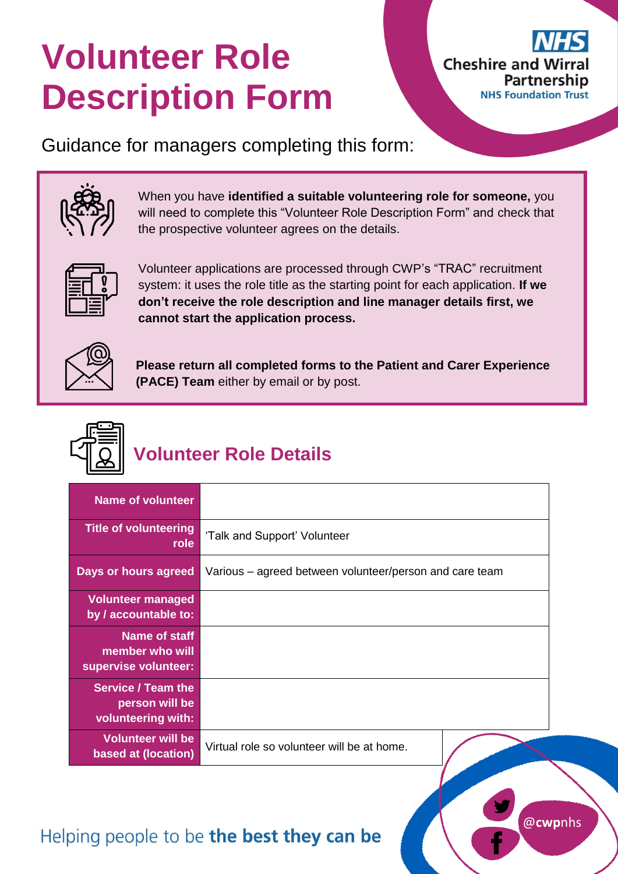# **Volunteer Role Description Form**



Guidance for managers completing this form:



When you have **identified a suitable volunteering role for someone,** you will need to complete this "Volunteer Role Description Form" and check that the prospective volunteer agrees on the details.



Volunteer applications are processed through CWP's "TRAC" recruitment system: it uses the role title as the starting point for each application. **If we don't receive the role description and line manager details first, we cannot start the application process.**



**Please return all completed forms to the Patient and Carer Experience (PACE) Team** either by email or by post.



## **Volunteer Role Details**

| <b>Name of volunteer</b>                                          |                                                         |
|-------------------------------------------------------------------|---------------------------------------------------------|
| <b>Title of volunteering</b><br>role                              | 'Talk and Support' Volunteer                            |
| Days or hours agreed                                              | Various – agreed between volunteer/person and care team |
| <b>Volunteer managed</b><br>by / accountable to:                  |                                                         |
| Name of staff<br>member who will<br>supervise volunteer:          |                                                         |
| <b>Service / Team the</b><br>person will be<br>volunteering with: |                                                         |
| <b>Volunteer will be</b><br>based at (location)                   | Virtual role so volunteer will be at home.              |

## Helping people to be the best they can be

@**cwp**nhs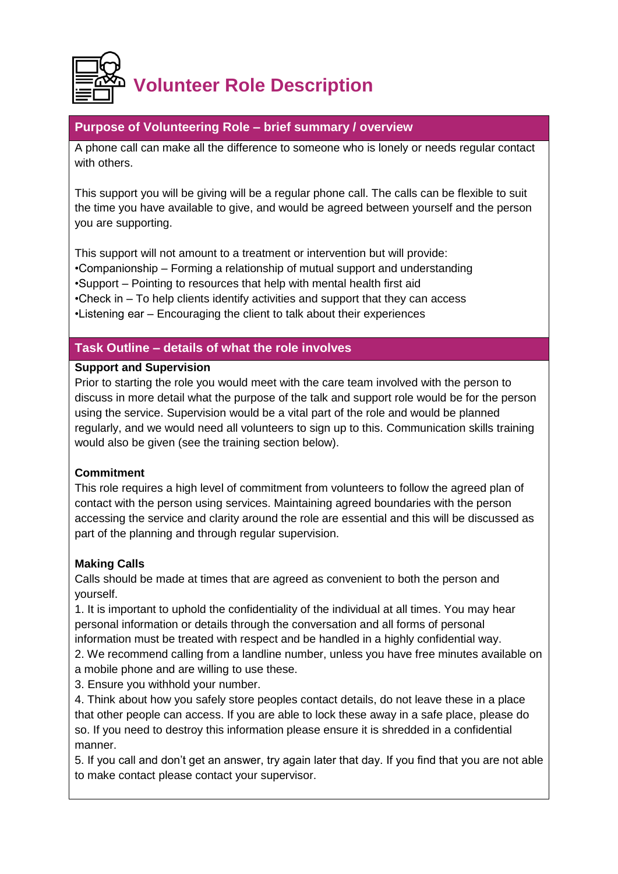

#### **Purpose of Volunteering Role – brief summary / overview**

A phone call can make all the difference to someone who is lonely or needs regular contact with others.

This support you will be giving will be a regular phone call. The calls can be flexible to suit the time you have available to give, and would be agreed between yourself and the person you are supporting.

This support will not amount to a treatment or intervention but will provide: •Companionship – Forming a relationship of mutual support and understanding •Support – Pointing to resources that help with mental health first aid •Check in – To help clients identify activities and support that they can access •Listening ear – Encouraging the client to talk about their experiences

#### **Task Outline – details of what the role involves**

#### **Support and Supervision**

Prior to starting the role you would meet with the care team involved with the person to discuss in more detail what the purpose of the talk and support role would be for the person using the service. Supervision would be a vital part of the role and would be planned regularly, and we would need all volunteers to sign up to this. Communication skills training would also be given (see the training section below).

#### **Commitment**

This role requires a high level of commitment from volunteers to follow the agreed plan of contact with the person using services. Maintaining agreed boundaries with the person accessing the service and clarity around the role are essential and this will be discussed as part of the planning and through regular supervision.

#### **Making Calls**

Calls should be made at times that are agreed as convenient to both the person and yourself.

1. It is important to uphold the confidentiality of the individual at all times. You may hear personal information or details through the conversation and all forms of personal information must be treated with respect and be handled in a highly confidential way.

2. We recommend calling from a landline number, unless you have free minutes available on a mobile phone and are willing to use these.

3. Ensure you withhold your number.

4. Think about how you safely store peoples contact details, do not leave these in a place that other people can access. If you are able to lock these away in a safe place, please do so. If you need to destroy this information please ensure it is shredded in a confidential manner.

5. If you call and don't get an answer, try again later that day. If you find that you are not able to make contact please contact your supervisor.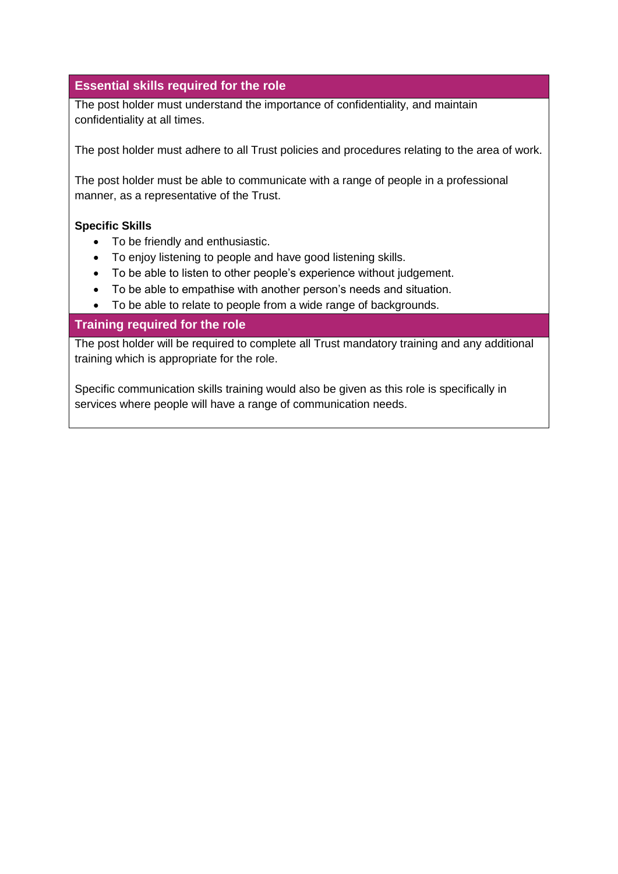#### **Essential skills required for the role**

The post holder must understand the importance of confidentiality, and maintain confidentiality at all times.

The post holder must adhere to all Trust policies and procedures relating to the area of work.

The post holder must be able to communicate with a range of people in a professional manner, as a representative of the Trust.

#### **Specific Skills**

- To be friendly and enthusiastic.
- To enjoy listening to people and have good listening skills.
- To be able to listen to other people's experience without judgement.
- To be able to empathise with another person's needs and situation.
- To be able to relate to people from a wide range of backgrounds.

#### **Training required for the role**

The post holder will be required to complete all Trust mandatory training and any additional training which is appropriate for the role.

Specific communication skills training would also be given as this role is specifically in services where people will have a range of communication needs.